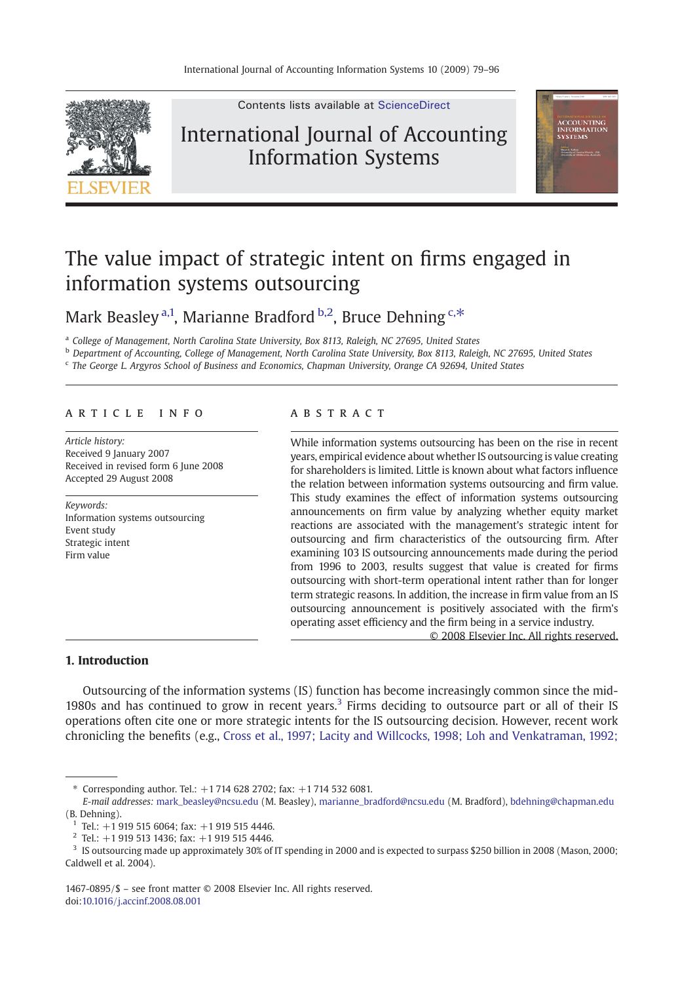

Contents lists available at [ScienceDirect](http://www.sciencedirect.com/science/journal/14670895)

## International Journal of Accounting Information Systems



## The value impact of strategic intent on firms engaged in information systems outsourcing

Mark Beasley<sup>a,1</sup>, Marianne Bradford<sup>b,2</sup>, Bruce Dehning<sup>c,\*</sup>

<sup>a</sup> College of Management, North Carolina State University, Box 8113, Raleigh, NC 27695, United States

**b** Department of Accounting, College of Management, North Carolina State University, Box 8113, Raleigh, NC 27695, United States

<sup>c</sup> The George L. Argyros School of Business and Economics, Chapman University, Orange CA 92694, United States

### article info abstract

Article history: Received 9 January 2007 Received in revised form 6 June 2008 Accepted 29 August 2008

Keywords: Information systems outsourcing Event study Strategic intent Firm value

While information systems outsourcing has been on the rise in recent years, empirical evidence about whether IS outsourcing is value creating for shareholders is limited. Little is known about what factors influence the relation between information systems outsourcing and firm value. This study examines the effect of information systems outsourcing announcements on firm value by analyzing whether equity market reactions are associated with the management's strategic intent for outsourcing and firm characteristics of the outsourcing firm. After examining 103 IS outsourcing announcements made during the period from 1996 to 2003, results suggest that value is created for firms outsourcing with short-term operational intent rather than for longer term strategic reasons. In addition, the increase in firm value from an IS outsourcing announcement is positively associated with the firm's operating asset efficiency and the firm being in a service industry.

© 2008 Elsevier Inc. All rights reserved.

### 1. Introduction

Outsourcing of the information systems (IS) function has become increasingly common since the mid-1980s and has continued to grow in recent years.<sup>3</sup> Firms deciding to outsource part or all of their IS operations often cite one or more strategic intents for the IS outsourcing decision. However, recent work chronicling the benefits (e.g., [Cross et al., 1997; Lacity and Willcocks, 1998; Loh and Venkatraman, 1992;](#page--1-0)

1467-0895/\$ – see front matter © 2008 Elsevier Inc. All rights reserved. doi:[10.1016/j.accinf.2008.08.001](http://dx.doi.org/10.1016/j.accinf.2008.08.001)

<sup>⁎</sup> Corresponding author. Tel.: +1 714 628 2702; fax: +1 714 532 6081.

E-mail addresses: [mark\\_beasley@ncsu.edu](mailto:mark_beasley@ncsu.edu) (M. Beasley), [marianne\\_bradford@ncsu.edu](mailto:marianne_bradford@ncsu.edu) (M. Bradford), [bdehning@chapman.edu](mailto:bdehning@chapman.edu) (B. Dehning).

 $1$  Tel.:  $+1$  919 515 6064; fax:  $+1$  919 515 4446.

 $2$  Tel.: +1 919 513 1436; fax: +1 919 515 4446.

<sup>3</sup> IS outsourcing made up approximately 30% of IT spending in 2000 and is expected to surpass \$250 billion in 2008 (Mason, 2000; Caldwell et al. 2004).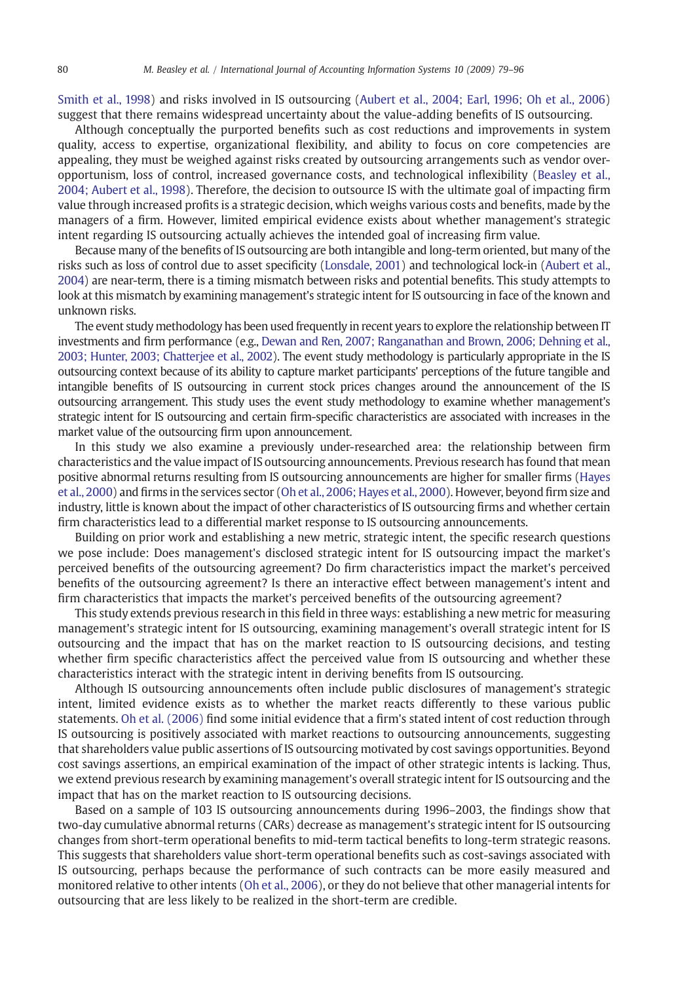[Smith et al., 1998](#page--1-0)) and risks involved in IS outsourcing [\(Aubert et al., 2004; Earl, 1996; Oh et al., 2006](#page--1-0)) suggest that there remains widespread uncertainty about the value-adding benefits of IS outsourcing.

Although conceptually the purported benefits such as cost reductions and improvements in system quality, access to expertise, organizational flexibility, and ability to focus on core competencies are appealing, they must be weighed against risks created by outsourcing arrangements such as vendor overopportunism, loss of control, increased governance costs, and technological inflexibility [\(Beasley et al.,](#page--1-0) [2004; Aubert et al., 1998\)](#page--1-0). Therefore, the decision to outsource IS with the ultimate goal of impacting firm value through increased profits is a strategic decision, which weighs various costs and benefits, made by the managers of a firm. However, limited empirical evidence exists about whether management's strategic intent regarding IS outsourcing actually achieves the intended goal of increasing firm value.

Because many of the benefits of IS outsourcing are both intangible and long-term oriented, but many of the risks such as loss of control due to asset specificity [\(Lonsdale, 2001\)](#page--1-0) and technological lock-in ([Aubert et al.,](#page--1-0) [2004](#page--1-0)) are near-term, there is a timing mismatch between risks and potential benefits. This study attempts to look at this mismatch by examining management's strategic intent for IS outsourcing in face of the known and unknown risks.

The event study methodology has been used frequently in recent years to explore the relationship between IT investments and firm performance (e.g., [Dewan and Ren, 2007; Ranganathan and Brown, 2006; Dehning et al.,](#page--1-0) [2003; Hunter, 2003; Chatterjee et al., 2002\)](#page--1-0). The event study methodology is particularly appropriate in the IS outsourcing context because of its ability to capture market participants' perceptions of the future tangible and intangible benefits of IS outsourcing in current stock prices changes around the announcement of the IS outsourcing arrangement. This study uses the event study methodology to examine whether management's strategic intent for IS outsourcing and certain firm-specific characteristics are associated with increases in the market value of the outsourcing firm upon announcement.

In this study we also examine a previously under-researched area: the relationship between firm characteristics and the value impact of IS outsourcing announcements. Previous research has found that mean positive abnormal returns resulting from IS outsourcing announcements are higher for smaller firms [\(Hayes](#page--1-0) [et al., 2000\)](#page--1-0) and firms in the services sector ([Oh et al., 2006; Hayes et al., 2000\)](#page--1-0). However, beyond firm size and industry, little is known about the impact of other characteristics of IS outsourcing firms and whether certain firm characteristics lead to a differential market response to IS outsourcing announcements.

Building on prior work and establishing a new metric, strategic intent, the specific research questions we pose include: Does management's disclosed strategic intent for IS outsourcing impact the market's perceived benefits of the outsourcing agreement? Do firm characteristics impact the market's perceived benefits of the outsourcing agreement? Is there an interactive effect between management's intent and firm characteristics that impacts the market's perceived benefits of the outsourcing agreement?

This study extends previous research in this field in three ways: establishing a new metric for measuring management's strategic intent for IS outsourcing, examining management's overall strategic intent for IS outsourcing and the impact that has on the market reaction to IS outsourcing decisions, and testing whether firm specific characteristics affect the perceived value from IS outsourcing and whether these characteristics interact with the strategic intent in deriving benefits from IS outsourcing.

Although IS outsourcing announcements often include public disclosures of management's strategic intent, limited evidence exists as to whether the market reacts differently to these various public statements. [Oh et al. \(2006\)](#page--1-0) find some initial evidence that a firm's stated intent of cost reduction through IS outsourcing is positively associated with market reactions to outsourcing announcements, suggesting that shareholders value public assertions of IS outsourcing motivated by cost savings opportunities. Beyond cost savings assertions, an empirical examination of the impact of other strategic intents is lacking. Thus, we extend previous research by examining management's overall strategic intent for IS outsourcing and the impact that has on the market reaction to IS outsourcing decisions.

Based on a sample of 103 IS outsourcing announcements during 1996–2003, the findings show that two-day cumulative abnormal returns (CARs) decrease as management's strategic intent for IS outsourcing changes from short-term operational benefits to mid-term tactical benefits to long-term strategic reasons. This suggests that shareholders value short-term operational benefits such as cost-savings associated with IS outsourcing, perhaps because the performance of such contracts can be more easily measured and monitored relative to other intents [\(Oh et al., 2006](#page--1-0)), or they do not believe that other managerial intents for outsourcing that are less likely to be realized in the short-term are credible.